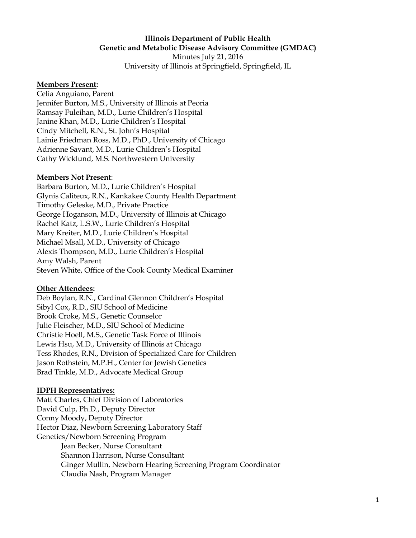#### **Illinois Department of Public Health Genetic and Metabolic Disease Advisory Committee (GMDAC)**

Minutes July 21, 2016 University of Illinois at Springfield, Springfield, IL

#### **Members Present:**

Celia Anguiano, Parent Jennifer Burton, M.S., University of Illinois at Peoria Ramsay Fuleihan, M.D., Lurie Children's Hospital Janine Khan, M.D., Lurie Children's Hospital Cindy Mitchell, R.N., St. John's Hospital Lainie Friedman Ross, M.D., PhD., University of Chicago Adrienne Savant, M.D., Lurie Children's Hospital Cathy Wicklund, M.S. Northwestern University

#### **Members Not Present**:

Barbara Burton, M.D., Lurie Children's Hospital Glynis Caliteux, R.N., Kankakee County Health Department Timothy Geleske, M.D., Private Practice George Hoganson, M.D., University of Illinois at Chicago Rachel Katz, L.S.W., Lurie Children's Hospital Mary Kreiter, M.D., Lurie Children's Hospital Michael Msall, M.D., University of Chicago Alexis Thompson, M.D., Lurie Children's Hospital Amy Walsh, Parent Steven White, Office of the Cook County Medical Examiner

#### **Other Attendees:**

Deb Boylan, R.N., Cardinal Glennon Children's Hospital Sibyl Cox, R.D., SIU School of Medicine Brook Croke, M.S., Genetic Counselor Julie Fleischer, M.D., SIU School of Medicine Christie Hoell, M.S., Genetic Task Force of Illinois Lewis Hsu, M.D., University of Illinois at Chicago Tess Rhodes, R.N., Division of Specialized Care for Children Jason Rothstein, M.P.H., Center for Jewish Genetics Brad Tinkle, M.D., Advocate Medical Group

### **IDPH Representatives:**

Matt Charles, Chief Division of Laboratories David Culp, Ph.D., Deputy Director Conny Moody, Deputy Director Hector Diaz, Newborn Screening Laboratory Staff Genetics/Newborn Screening Program Jean Becker, Nurse Consultant Shannon Harrison, Nurse Consultant Ginger Mullin, Newborn Hearing Screening Program Coordinator Claudia Nash, Program Manager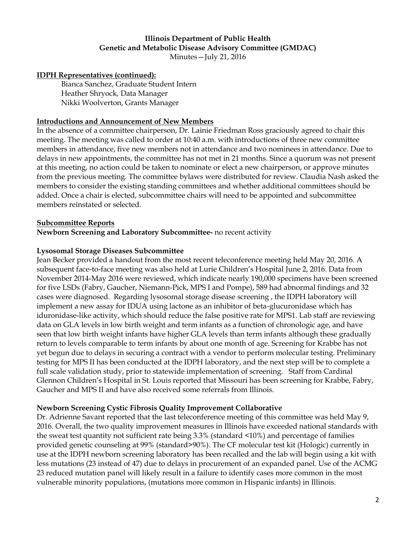# **Illinois Department of Public Health Genetic and Metabolic Disease Advisory Committee (GMDAC)**

Minutes—July 21, 2016

### **IDPH Representatives (continued):**

Bianca Sanchez, Graduate Student Intern Heather Shryock, Data Manager Nikki Woolverton, Grants Manager

### **Introductions and Announcement of New Members**

In the absence of a committee chairperson, Dr. Lainie Friedman Ross graciously agreed to chair this meeting. The meeting was called to order at 10:40 a.m. with introductions of three new committee members in attendance, five new members not in attendance and two nominees in attendance. Due to delays in new appointments, the committee has not met in 21 months. Since a quorum was not present at this meeting, no action could be taken to nominate or elect a new chairperson, or approve minutes from the previous meeting. The committee bylaws were distributed for review. Claudia Nash asked the members to consider the existing standing committees and whether additional committees should be added. Once a chair is elected, subcommittee chairs will need to be appointed and subcommittee members reinstated or selected.

#### **Subcommittee Reports**

#### **Newborn Screening and Laboratory Subcommittee-** no recent activity

### **Lysosomal Storage Diseases Subcommittee**

Jean Becker provided a handout from the most recent teleconference meeting held May 20, 2016. A subsequent face-to-face meeting was also held at Lurie Children's Hospital June 2, 2016. Data from November 2014-May 2016 were reviewed, which indicate nearly 190,000 specimens have been screened for five LSDs (Fabry, Gaucher, Niemann-Pick, MPS I and Pompe), 589 had abnormal findings and 32 cases were diagnosed. Regarding lysosomal storage disease screening , the IDPH laboratory will implement a new assay for IDUA using lactone as an inhibitor of beta-glucuronidase which has iduronidase-like activity, which should reduce the false positive rate for MPS1. Lab staff are reviewing data on GLA levels in low birth weight and term infants as a function of chronologic age, and have seen that low birth weight infants have higher GLA levels than term infants although these gradually return to levels comparable to term infants by about one month of age. Screening for Krabbe has not yet begun due to delays in securing a contract with a vendor to perform molecular testing. Preliminary testing for MPS II has been conducted at the IDPH laboratory, and the next step will be to complete a full scale validation study, prior to statewide implementation of screening. Staff from Cardinal Glennon Children's Hospital in St. Louis reported that Missouri has been screening for Krabbe, Fabry, Gaucher and MPS II and have also received some referrals from Illinois.

### **Newborn Screening Cystic Fibrosis Quality Improvement Collaborative**

Dr. Adrienne Savant reported that the last teleconference meeting of this committee was held May 9, 2016. Overall, the two quality improvement measures in Illinois have exceeded national standards with the sweat test quantity not sufficient rate being 3.3% (standard <10%) and percentage of families provided genetic counseling at 99% (standard>90%). The CF molecular test kit (Hologic) currently in use at the IDPH newborn screening laboratory has been recalled and the lab will begin using a kit with less mutations (23 instead of 47) due to delays in procurement of an expanded panel. Use of the ACMG 23 reduced mutation panel will likely result in a failure to identify cases more common in the most vulnerable minority populations, (mutations more common in Hispanic infants) in Illinois.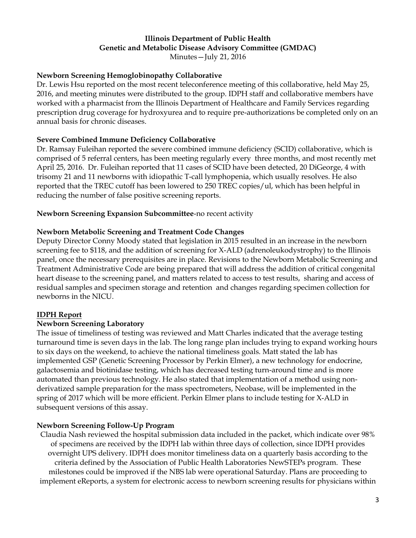#### **Illinois Department of Public Health Genetic and Metabolic Disease Advisory Committee (GMDAC)** Minutes—July 21, 2016

### **Newborn Screening Hemoglobinopathy Collaborative**

Dr. Lewis Hsu reported on the most recent teleconference meeting of this collaborative, held May 25, 2016, and meeting minutes were distributed to the group. IDPH staff and collaborative members have worked with a pharmacist from the Illinois Department of Healthcare and Family Services regarding prescription drug coverage for hydroxyurea and to require pre-authorizations be completed only on an annual basis for chronic diseases.

### **Severe Combined Immune Deficiency Collaborative**

Dr. Ramsay Fuleihan reported the severe combined immune deficiency (SCID) collaborative, which is comprised of 5 referral centers, has been meeting regularly every three months, and most recently met April 25, 2016. Dr. Fuleihan reported that 11 cases of SCID have been detected, 20 DiGeorge, 4 with trisomy 21 and 11 newborns with idiopathic T-call lymphopenia, which usually resolves. He also reported that the TREC cutoff has been lowered to 250 TREC copies/ul, which has been helpful in reducing the number of false positive screening reports.

### **Newborn Screening Expansion Subcommittee**-no recent activity

### **Newborn Metabolic Screening and Treatment Code Changes**

Deputy Director Conny Moody stated that legislation in 2015 resulted in an increase in the newborn screening fee to \$118, and the addition of screening for X-ALD (adrenoleukodystrophy) to the Illinois panel, once the necessary prerequisites are in place. Revisions to the Newborn Metabolic Screening and Treatment Administrative Code are being prepared that will address the addition of critical congenital heart disease to the screening panel, and matters related to access to test results, sharing and access of residual samples and specimen storage and retention and changes regarding specimen collection for newborns in the NICU.

### **IDPH Report**

### **Newborn Screening Laboratory**

The issue of timeliness of testing was reviewed and Matt Charles indicated that the average testing turnaround time is seven days in the lab. The long range plan includes trying to expand working hours to six days on the weekend, to achieve the national timeliness goals. Matt stated the lab has implemented GSP (Genetic Screening Processor by Perkin Elmer), a new technology for endocrine, galactosemia and biotinidase testing, which has decreased testing turn-around time and is more automated than previous technology. He also stated that implementation of a method using nonderivatized sample preparation for the mass spectrometers, Neobase, will be implemented in the spring of 2017 which will be more efficient. Perkin Elmer plans to include testing for X-ALD in subsequent versions of this assay.

### **Newborn Screening Follow-Up Program**

Claudia Nash reviewed the hospital submission data included in the packet, which indicate over 98% of specimens are received by the IDPH lab within three days of collection, since IDPH provides overnight UPS delivery. IDPH does monitor timeliness data on a quarterly basis according to the criteria defined by the Association of Public Health Laboratories NewSTEPs program. These milestones could be improved if the NBS lab were operational Saturday. Plans are proceeding to implement eReports, a system for electronic access to newborn screening results for physicians within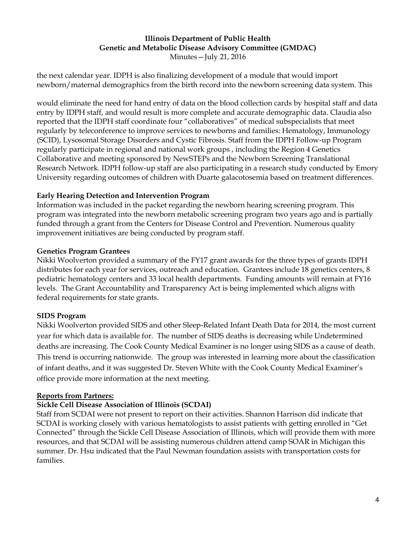### **Illinois Department of Public Health Genetic and Metabolic Disease Advisory Committee (GMDAC)** Minutes—July 21, 2016

the next calendar year. IDPH is also finalizing development of a module that would import newborn/maternal demographics from the birth record into the newborn screening data system. This

would eliminate the need for hand entry of data on the blood collection cards by hospital staff and data entry by IDPH staff, and would result is more complete and accurate demographic data. Claudia also reported that the IDPH staff coordinate four "collaboratives" of medical subspecialists that meet regularly by teleconference to improve services to newborns and families: Hematology, Immunology (SCID), Lysosomal Storage Disorders and Cystic Fibrosis. Staff from the IDPH Follow-up Program regularly participate in regional and national work groups , including the Region 4 Genetics Collaborative and meeting sponsored by NewSTEPs and the Newborn Screening Translational Research Network. IDPH follow-up staff are also participating in a research study conducted by Emory University regarding outcomes of children with Duarte galacotosemia based on treatment differences.

### **Early Hearing Detection and Intervention Program**

Information was included in the packet regarding the newborn hearing screening program. This program was integrated into the newborn metabolic screening program two years ago and is partially funded through a grant from the Centers for Disease Control and Prevention. Numerous quality improvement initiatives are being conducted by program staff.

## **Genetics Program Grantees**

Nikki Woolverton provided a summary of the FY17 grant awards for the three types of grants IDPH distributes for each year for services, outreach and education. Grantees include 18 genetics centers, 8 pediatric hematology centers and 33 local health departments. Funding amounts will remain at FY16 levels. The Grant Accountability and Transparency Act is being implemented which aligns with federal requirements for state grants.

## **SIDS Program**

Nikki Woolverton provided SIDS and other Sleep-Related Infant Death Data for 2014, the most current year for which data is available for. The number of SIDS deaths is decreasing while Undetermined deaths are increasing. The Cook County Medical Examiner is no longer using SIDS as a cause of death. This trend is occurring nationwide. The group was interested in learning more about the classification of infant deaths, and it was suggested Dr. Steven White with the Cook County Medical Examiner's office provide more information at the next meeting.

### **Reports from Partners:**

## **Sickle Cell Disease Association of Illinois (SCDAI)**

Staff from SCDAI were not present to report on their activities. Shannon Harrison did indicate that SCDAI is working closely with various hematologists to assist patients with getting enrolled in "Get Connected" through the Sickle Cell Disease Association of Illinois, which will provide them with more resources, and that SCDAI will be assisting numerous children attend camp SOAR in Michigan this summer. Dr. Hsu indicated that the Paul Newman foundation assists with transportation costs for families.